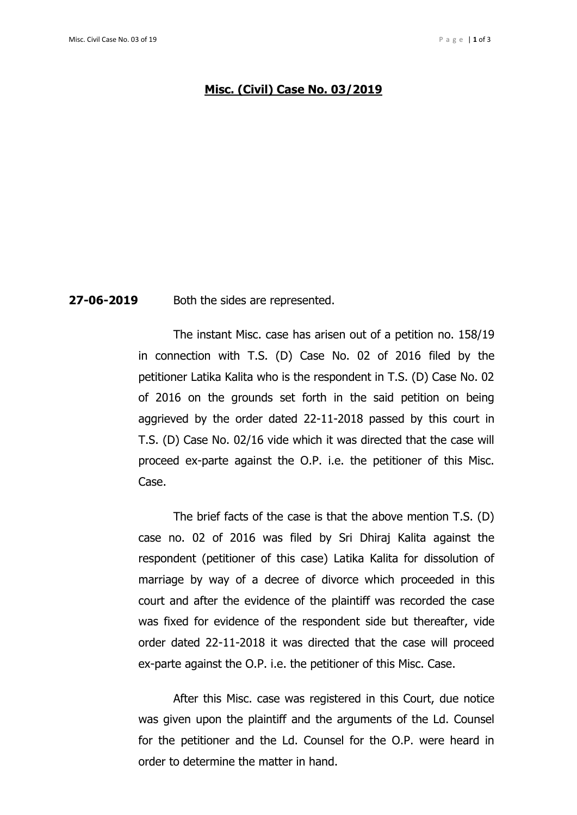## **Misc. (Civil) Case No. 03/2019**

## **27-06-2019** Both the sides are represented.

The instant Misc. case has arisen out of a petition no. 158/19 in connection with T.S. (D) Case No. 02 of 2016 filed by the petitioner Latika Kalita who is the respondent in T.S. (D) Case No. 02 of 2016 on the grounds set forth in the said petition on being aggrieved by the order dated 22-11-2018 passed by this court in T.S. (D) Case No. 02/16 vide which it was directed that the case will proceed ex-parte against the O.P. i.e. the petitioner of this Misc. Case.

The brief facts of the case is that the above mention T.S. (D) case no. 02 of 2016 was filed by Sri Dhiraj Kalita against the respondent (petitioner of this case) Latika Kalita for dissolution of marriage by way of a decree of divorce which proceeded in this court and after the evidence of the plaintiff was recorded the case was fixed for evidence of the respondent side but thereafter, vide order dated 22-11-2018 it was directed that the case will proceed ex-parte against the O.P. i.e. the petitioner of this Misc. Case.

After this Misc. case was registered in this Court, due notice was given upon the plaintiff and the arguments of the Ld. Counsel for the petitioner and the Ld. Counsel for the O.P. were heard in order to determine the matter in hand.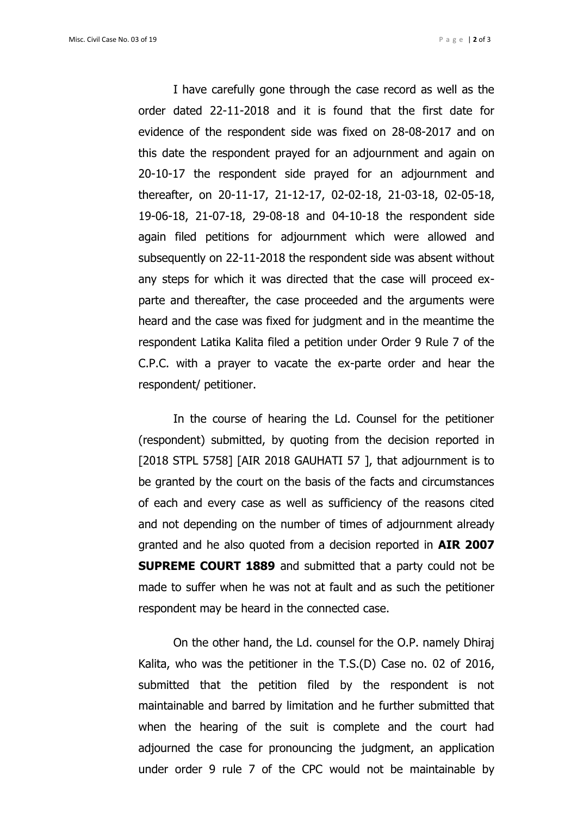I have carefully gone through the case record as well as the order dated 22-11-2018 and it is found that the first date for evidence of the respondent side was fixed on 28-08-2017 and on this date the respondent prayed for an adjournment and again on 20-10-17 the respondent side prayed for an adjournment and thereafter, on 20-11-17, 21-12-17, 02-02-18, 21-03-18, 02-05-18, 19-06-18, 21-07-18, 29-08-18 and 04-10-18 the respondent side again filed petitions for adjournment which were allowed and subsequently on 22-11-2018 the respondent side was absent without any steps for which it was directed that the case will proceed exparte and thereafter, the case proceeded and the arguments were heard and the case was fixed for judgment and in the meantime the respondent Latika Kalita filed a petition under Order 9 Rule 7 of the C.P.C. with a prayer to vacate the ex-parte order and hear the respondent/ petitioner.

In the course of hearing the Ld. Counsel for the petitioner (respondent) submitted, by quoting from the decision reported in [2018 STPL 5758] [AIR 2018 GAUHATI 57], that adjournment is to be granted by the court on the basis of the facts and circumstances of each and every case as well as sufficiency of the reasons cited and not depending on the number of times of adjournment already granted and he also quoted from a decision reported in **AIR 2007 SUPREME COURT 1889** and submitted that a party could not be made to suffer when he was not at fault and as such the petitioner respondent may be heard in the connected case.

On the other hand, the Ld. counsel for the O.P. namely Dhiraj Kalita, who was the petitioner in the T.S.(D) Case no. 02 of 2016, submitted that the petition filed by the respondent is not maintainable and barred by limitation and he further submitted that when the hearing of the suit is complete and the court had adjourned the case for pronouncing the judgment, an application under order 9 rule 7 of the CPC would not be maintainable by